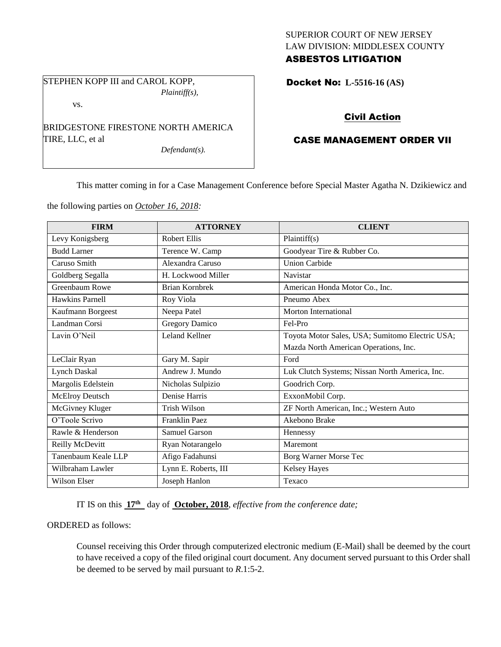### SUPERIOR COURT OF NEW JERSEY LAW DIVISION: MIDDLESEX COUNTY ASBESTOS LITIGATION

STEPHEN KOPP III and CAROL KOPP, *Plaintiff(s),*

vs.

BRIDGESTONE FIRESTONE NORTH AMERICA TIRE, LLC, et al

*Defendant(s).*

Docket No: **L-5516-16 (AS)** 

# Civil Action

## CASE MANAGEMENT ORDER VII

This matter coming in for a Case Management Conference before Special Master Agatha N. Dzikiewicz and

the following parties on *October 16, 2018:*

| <b>FIRM</b>         | <b>ATTORNEY</b>       | <b>CLIENT</b>                                   |
|---------------------|-----------------------|-------------------------------------------------|
| Levy Konigsberg     | <b>Robert Ellis</b>   | Plaintiff(s)                                    |
| <b>Budd Larner</b>  | Terence W. Camp       | Goodyear Tire & Rubber Co.                      |
| Caruso Smith        | Alexandra Caruso      | <b>Union Carbide</b>                            |
| Goldberg Segalla    | H. Lockwood Miller    | Navistar                                        |
| Greenbaum Rowe      | <b>Brian Kornbrek</b> | American Honda Motor Co., Inc.                  |
| Hawkins Parnell     | Roy Viola             | Pneumo Abex                                     |
| Kaufmann Borgeest   | Neepa Patel           | Morton International                            |
| Landman Corsi       | <b>Gregory Damico</b> | Fel-Pro                                         |
| Lavin O'Neil        | <b>Leland Kellner</b> | Toyota Motor Sales, USA; Sumitomo Electric USA; |
|                     |                       | Mazda North American Operations, Inc.           |
| LeClair Ryan        | Gary M. Sapir         | Ford                                            |
| <b>Lynch Daskal</b> | Andrew J. Mundo       | Luk Clutch Systems; Nissan North America, Inc.  |
| Margolis Edelstein  | Nicholas Sulpizio     | Goodrich Corp.                                  |
| McElroy Deutsch     | Denise Harris         | ExxonMobil Corp.                                |
| McGivney Kluger     | <b>Trish Wilson</b>   | ZF North American, Inc.; Western Auto           |
| O'Toole Scrivo      | Franklin Paez         | Akebono Brake                                   |
| Rawle & Henderson   | Samuel Garson         | Hennessy                                        |
| Reilly McDevitt     | Ryan Notarangelo      | Maremont                                        |
| Tanenbaum Keale LLP | Afigo Fadahunsi       | Borg Warner Morse Tec                           |
| Wilbraham Lawler    | Lynn E. Roberts, III  | <b>Kelsey Hayes</b>                             |
| <b>Wilson Elser</b> | Joseph Hanlon         | Texaco                                          |

IT IS on this  $17<sup>th</sup>$  day of **October, 2018**, *effective from the conference date*;

ORDERED as follows:

Counsel receiving this Order through computerized electronic medium (E-Mail) shall be deemed by the court to have received a copy of the filed original court document. Any document served pursuant to this Order shall be deemed to be served by mail pursuant to *R*.1:5-2.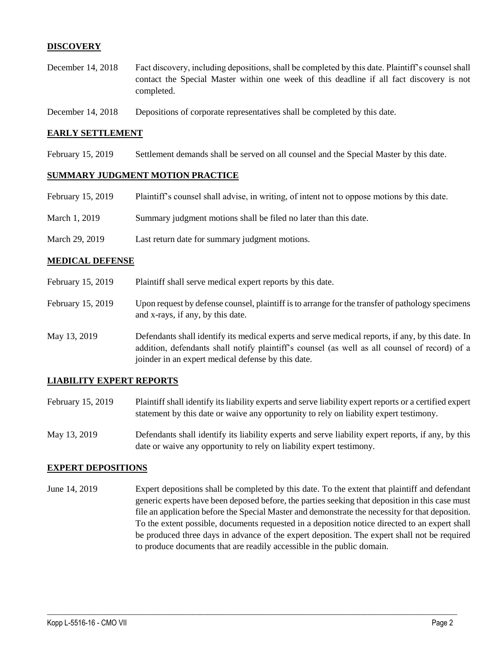### **DISCOVERY**

- December 14, 2018 Fact discovery, including depositions, shall be completed by this date. Plaintiff's counsel shall contact the Special Master within one week of this deadline if all fact discovery is not completed.
- December 14, 2018 Depositions of corporate representatives shall be completed by this date.

#### **EARLY SETTLEMENT**

February 15, 2019 Settlement demands shall be served on all counsel and the Special Master by this date.

#### **SUMMARY JUDGMENT MOTION PRACTICE**

| February 15, 2019 | Plaintiff's counsel shall advise, in writing, of intent not to oppose motions by this date. |
|-------------------|---------------------------------------------------------------------------------------------|
| March 1, 2019     | Summary judgment motions shall be filed no later than this date.                            |
| March 29, 2019    | Last return date for summary judgment motions.                                              |

#### **MEDICAL DEFENSE**

- February 15, 2019 Plaintiff shall serve medical expert reports by this date.
- February 15, 2019 Upon request by defense counsel, plaintiff is to arrange for the transfer of pathology specimens and x-rays, if any, by this date.
- May 13, 2019 Defendants shall identify its medical experts and serve medical reports, if any, by this date. In addition, defendants shall notify plaintiff's counsel (as well as all counsel of record) of a joinder in an expert medical defense by this date.

#### **LIABILITY EXPERT REPORTS**

- February 15, 2019 Plaintiff shall identify its liability experts and serve liability expert reports or a certified expert statement by this date or waive any opportunity to rely on liability expert testimony.
- May 13, 2019 Defendants shall identify its liability experts and serve liability expert reports, if any, by this date or waive any opportunity to rely on liability expert testimony.

#### **EXPERT DEPOSITIONS**

June 14, 2019 Expert depositions shall be completed by this date. To the extent that plaintiff and defendant generic experts have been deposed before, the parties seeking that deposition in this case must file an application before the Special Master and demonstrate the necessity for that deposition. To the extent possible, documents requested in a deposition notice directed to an expert shall be produced three days in advance of the expert deposition. The expert shall not be required to produce documents that are readily accessible in the public domain.

 $\_$  ,  $\_$  ,  $\_$  ,  $\_$  ,  $\_$  ,  $\_$  ,  $\_$  ,  $\_$  ,  $\_$  ,  $\_$  ,  $\_$  ,  $\_$  ,  $\_$  ,  $\_$  ,  $\_$  ,  $\_$  ,  $\_$  ,  $\_$  ,  $\_$  ,  $\_$  ,  $\_$  ,  $\_$  ,  $\_$  ,  $\_$  ,  $\_$  ,  $\_$  ,  $\_$  ,  $\_$  ,  $\_$  ,  $\_$  ,  $\_$  ,  $\_$  ,  $\_$  ,  $\_$  ,  $\_$  ,  $\_$  ,  $\_$  ,